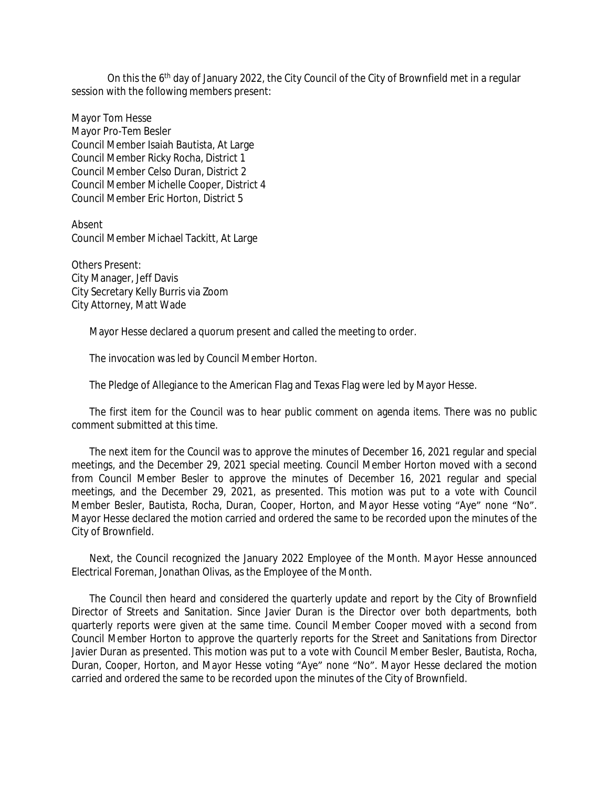On this the 6<sup>th</sup> day of January 2022, the City Council of the City of Brownfield met in a regular session with the following members present:

Mayor Tom Hesse Mayor Pro-Tem Besler Council Member Isaiah Bautista, At Large Council Member Ricky Rocha, District 1 Council Member Celso Duran, District 2 Council Member Michelle Cooper, District 4 Council Member Eric Horton, District 5

Absent Council Member Michael Tackitt, At Large

Others Present: City Manager, Jeff Davis City Secretary Kelly Burris via Zoom City Attorney, Matt Wade

Mayor Hesse declared a quorum present and called the meeting to order.

The invocation was led by Council Member Horton.

The Pledge of Allegiance to the American Flag and Texas Flag were led by Mayor Hesse.

The first item for the Council was to hear public comment on agenda items. There was no public comment submitted at this time.

The next item for the Council was to approve the minutes of December 16, 2021 regular and special meetings, and the December 29, 2021 special meeting. Council Member Horton moved with a second from Council Member Besler to approve the minutes of December 16, 2021 regular and special meetings, and the December 29, 2021, as presented. This motion was put to a vote with Council Member Besler, Bautista, Rocha, Duran, Cooper, Horton, and Mayor Hesse voting "Aye" none "No". Mayor Hesse declared the motion carried and ordered the same to be recorded upon the minutes of the City of Brownfield.

Next, the Council recognized the January 2022 Employee of the Month. Mayor Hesse announced Electrical Foreman, Jonathan Olivas, as the Employee of the Month.

The Council then heard and considered the quarterly update and report by the City of Brownfield Director of Streets and Sanitation. Since Javier Duran is the Director over both departments, both quarterly reports were given at the same time. Council Member Cooper moved with a second from Council Member Horton to approve the quarterly reports for the Street and Sanitations from Director Javier Duran as presented. This motion was put to a vote with Council Member Besler, Bautista, Rocha, Duran, Cooper, Horton, and Mayor Hesse voting "Aye" none "No". Mayor Hesse declared the motion carried and ordered the same to be recorded upon the minutes of the City of Brownfield.